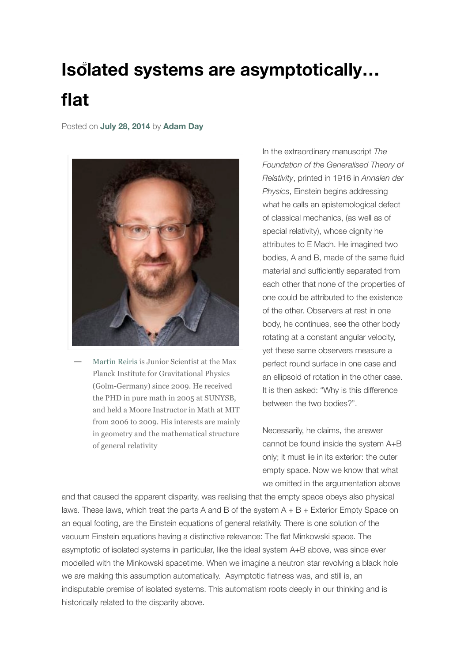## **Isolated systems are asymptotically… flat**

Posted on **[July 28, 2014](https://cqgplus.com/2014/07/28/isolated-systems-are-asymptotically-flat/)** by **[Adam Day](https://cqgplus.com/author/publisherad/)**



[Martin Reiris](http://www.aei.mpg.de/~martin/%20) is Junior Scientist at the Max Planck Institute for Gravitational Physics (Golm-Germany) since 2009. He received the PHD in pure math in 2005 at SUNYSB, and held a Moore Instructor in Math at MIT from 2006 to 2009. His interests are mainly in geometry and the mathematical structure of general relativity **—**

In the extraordinary manuscript *The Foundation of the Generalised Theory of Relativity*, printed in 1916 in *Annalen der Physics*, Einstein begins addressing what he calls an epistemological defect of classical mechanics, (as well as of special relativity), whose dignity he attributes to E Mach. He imagined two bodies, A and B, made of the same fluid material and sufficiently separated from each other that none of the properties of one could be attributed to the existence of the other. Observers at rest in one body, he continues, see the other body rotating at a constant angular velocity, yet these same observers measure a perfect round surface in one case and an ellipsoid of rotation in the other case. It is then asked: "Why is this difference between the two bodies?".

Necessarily, he claims, the answer cannot be found inside the system A+B only; it must lie in its exterior: the outer empty space. Now we know that what we omitted in the argumentation above

and that caused the apparent disparity, was realising that the empty space obeys also physical laws. These laws, which treat the parts A and B of the system  $A + B +$  Exterior Empty Space on an equal footing, are the Einstein equations of general relativity. There is one solution of the vacuum Einstein equations having a distinctive relevance: The flat Minkowski space. The asymptotic of isolated systems in particular, like the ideal system A+B above, was since ever modelled with the Minkowski spacetime. When we imagine a neutron star revolving a black hole we are making this assumption automatically. Asymptotic flatness was, and still is, an indisputable premise of isolated systems. This automatism roots deeply in our thinking and is historically related to the disparity above.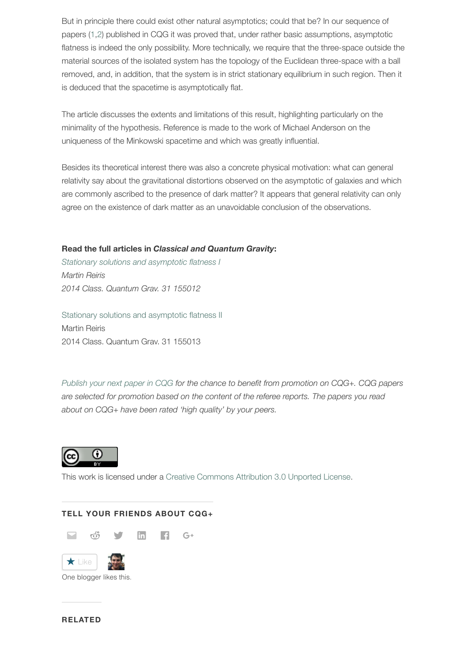But in principle there could exist other natural asymptotics; could that be? In our sequence of papers [\(1,](http://iopscience.iop.org/0264-9381/31/15/155012/article)[2](http://iopscience.iop.org/0264-9381/31/15/155013/article)) published in CQG it was proved that, under rather basic assumptions, asymptotic flatness is indeed the only possibility. More technically, we require that the three-space outside the material sources of the isolated system has the topology of the Euclidean three-space with a ball removed, and, in addition, that the system is in strict stationary equilibrium in such region. Then it is deduced that the spacetime is asymptotically flat.

The article discusses the extents and limitations of this result, highlighting particularly on the minimality of the hypothesis. Reference is made to the work of Michael Anderson on the uniqueness of the Minkowski spacetime and which was greatly influential.

Besides its theoretical interest there was also a concrete physical motivation: what can general relativity say about the gravitational distortions observed on the asymptotic of galaxies and which are commonly ascribed to the presence of dark matter? It appears that general relativity can only agree on the existence of dark matter as an unavoidable conclusion of the observations.

## **Read the full articles in** *Classical and Quantum Gravity***:**

*[Stationary solutions and asymptotic flatness I](http://iopscience.iop.org/0264-9381/31/15/155012/article)  Martin Reiris 2014 Class. Quantum Grav. 31 155012*

[Stationary solutions and asymptotic flatness II](http://iopscience.iop.org/0264-9381/31/15/155013/article)  Martin Reiris 2014 Class. Quantum Grav. 31 155013

*[Publish your next paper in CQG](http://mc04.manuscriptcentral.com/cqg-iop) for the chance to benefit from promotion on CQG+. CQG papers are selected for promotion based on the content of the referee reports. The papers you read about on CQG+ have been rated 'high quality' by your peers.*



This work is licensed under a [Creative Commons Attribution 3.0 Unported License.](http://creativecommons.org/licenses/by/3.0/)

## **TELL YOUR FRIENDS ABOUT CQG+**